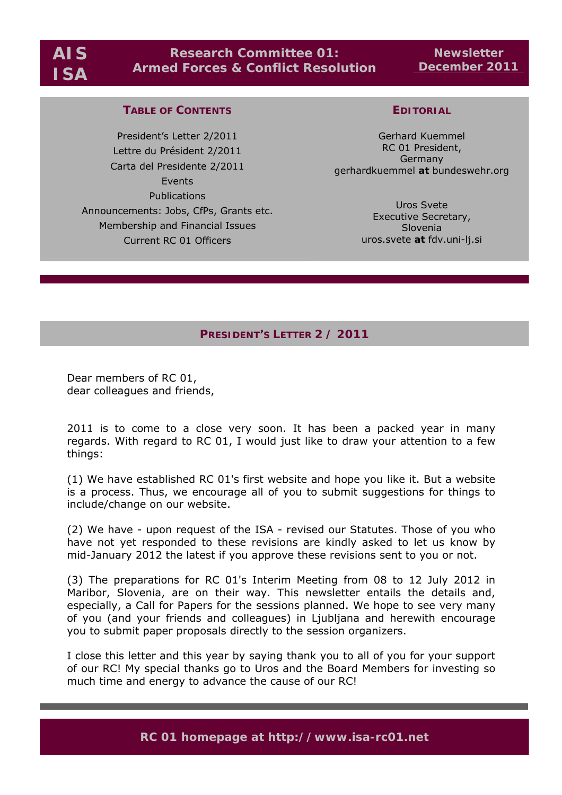# **Research Committee 01: Armed Forces & Conflict Resolution**

**Newsletter December 2011** 

## **TABLE OF CONTENTS**

President's Letter 2/2011 Lettre du Président 2/2011 Carta del Presidente 2/2011 Events Publications Announcements: Jobs, CfPs, Grants etc. Membership and Financial Issues Current RC 01 Officers

# **EDITORIAL**

Gerhard Kuemmel RC 01 President, Germany gerhardkuemmel *at* bundeswehr.org

> Uros Svete Executive Secretary, Slovenia uros.svete *at* fdv.uni-lj.si

## **PRESIDENT'S LETTER 2 / 2011**

Dear members of RC 01, dear colleagues and friends,

2011 is to come to a close very soon. It has been a packed year in many regards. With regard to RC 01, I would just like to draw your attention to a few things:

(1) We have established RC 01's first website and hope you like it. But a website is a process. Thus, we encourage all of you to submit suggestions for things to include/change on our website.

(2) We have - upon request of the ISA - revised our Statutes. Those of you who have not yet responded to these revisions are kindly asked to let us know by mid-January 2012 the latest if you approve these revisions sent to you or not.

(3) The preparations for RC 01's Interim Meeting from 08 to 12 July 2012 in Maribor, Slovenia, are on their way. This newsletter entails the details and, especially, a Call for Papers for the sessions planned. We hope to see very many of you (and your friends and colleagues) in Ljubljana and herewith encourage you to submit paper proposals directly to the session organizers.

I close this letter and this year by saying thank you to all of you for your support of our RC! My special thanks go to Uros and the Board Members for investing so much time and energy to advance the cause of our RC!

**RC 01 homepage at http://www.isa-rc01.net**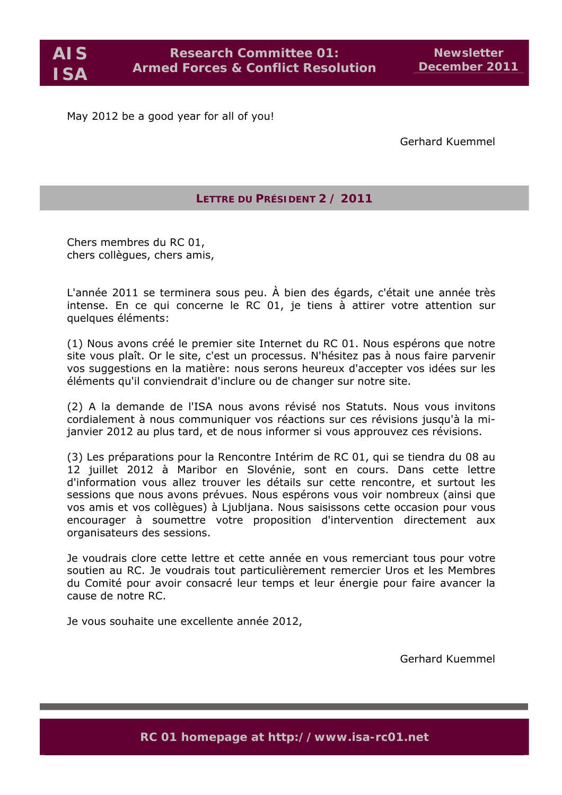May 2012 be a good year for all of you!

Gerhard Kuemmel

# **LETTRE DU PRÉSIDENT 2 / 2011**

Chers membres du RC 01, chers collègues, chers amis,

L'année 2011 se terminera sous peu. À bien des égards, c'était une année très intense. En ce qui concerne le RC 01, je tiens à attirer votre attention sur quelques éléments:

(1) Nous avons créé le premier site Internet du RC 01. Nous espérons que notre site vous plaît. Or le site, c'est un processus. N'hésitez pas à nous faire parvenir vos suggestions en la matière: nous serons heureux d'accepter vos idées sur les éléments qu'il conviendrait d'inclure ou de changer sur notre site.

(2) A la demande de l'ISA nous avons révisé nos Statuts. Nous vous invitons cordialement à nous communiquer vos réactions sur ces révisions jusqu'à la mijanvier 2012 au plus tard, et de nous informer si vous approuvez ces révisions.

(3) Les préparations pour la Rencontre Intérim de RC 01, qui se tiendra du 08 au 12 juillet 2012 à Maribor en Slovénie, sont en cours. Dans cette lettre d'information vous allez trouver les détails sur cette rencontre, et surtout les sessions que nous avons prévues. Nous espérons vous voir nombreux (ainsi que vos amis et vos collègues) à Ljubljana. Nous saisissons cette occasion pour vous encourager à soumettre votre proposition d'intervention directement aux organisateurs des sessions.

Je voudrais clore cette lettre et cette année en vous remerciant tous pour votre soutien au RC. Je voudrais tout particulièrement remercier Uros et les Membres du Comité pour avoir consacré leur temps et leur énergie pour faire avancer la cause de notre RC.

Je vous souhaite une excellente année 2012,

Gerhard Kuemmel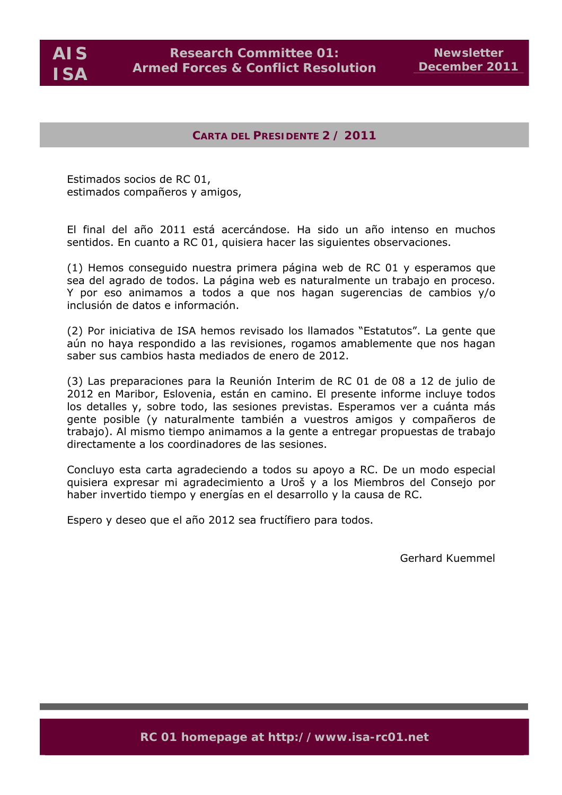**AIS ISA** 

# **CARTA DEL PRESIDENTE 2 / 2011**

Estimados socios de RC 01, estimados compañeros y amigos,

El final del año 2011 está acercándose. Ha sido un año intenso en muchos sentidos. En cuanto a RC 01, quisiera hacer las siguientes observaciones.

(1) Hemos conseguido nuestra primera página web de RC 01 y esperamos que sea del agrado de todos. La página web es naturalmente un trabajo en proceso. Y por eso animamos a todos a que nos hagan sugerencias de cambios y/o inclusión de datos e información.

(2) Por iniciativa de ISA hemos revisado los llamados "Estatutos". La gente que aún no haya respondido a las revisiones, rogamos amablemente que nos hagan saber sus cambios hasta mediados de enero de 2012.

(3) Las preparaciones para la Reunión Interim de RC 01 de 08 a 12 de julio de 2012 en Maribor, Eslovenia, están en camino. El presente informe incluye todos los detalles y, sobre todo, las sesiones previstas. Esperamos ver a cuánta más gente posible (y naturalmente también a vuestros amigos y compañeros de trabajo). Al mismo tiempo animamos a la gente a entregar propuestas de trabajo directamente a los coordinadores de las sesiones.

Concluyo esta carta agradeciendo a todos su apoyo a RC. De un modo especial quisiera expresar mi agradecimiento a Uroš y a los Miembros del Consejo por haber invertido tiempo y energías en el desarrollo y la causa de RC.

Espero y deseo que el año 2012 sea fructífiero para todos.

Gerhard Kuemmel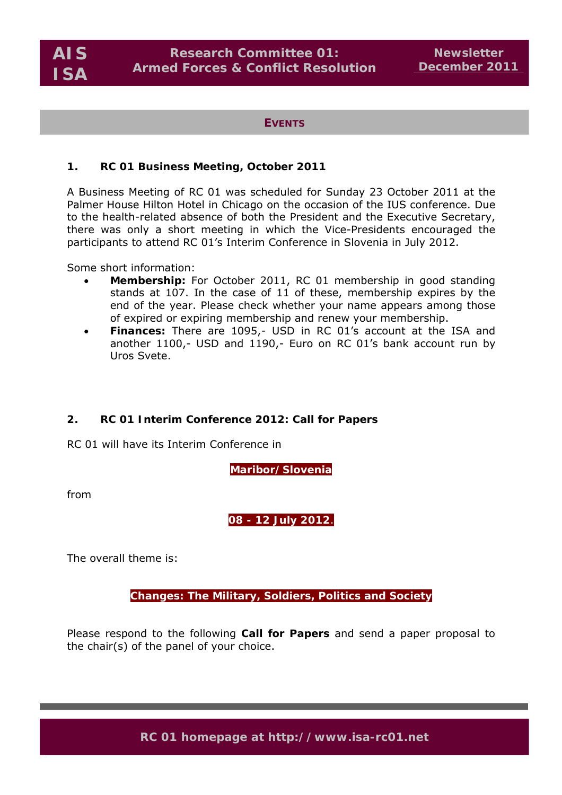**EVENTS**

#### **1. RC 01 Business Meeting, October 2011**

A Business Meeting of RC 01 was scheduled for Sunday 23 October 2011 at the Palmer House Hilton Hotel in Chicago on the occasion of the IUS conference. Due to the health-related absence of both the President and the Executive Secretary, there was only a short meeting in which the Vice-Presidents encouraged the participants to attend RC 01's Interim Conference in Slovenia in July 2012.

Some short information:

- **Membership:** For October 2011, RC 01 membership in good standing stands at 107. In the case of 11 of these, membership expires by the end of the year. Please check whether your name appears among those of expired or expiring membership and renew your membership.
- **Finances:** There are 1095,- USD in RC 01's account at the ISA and another 1100,- USD and 1190,- Euro on RC 01's bank account run by Uros Svete.

## **2. RC 01 Interim Conference 2012: Call for Papers**

RC 01 will have its Interim Conference in

**Maribor/Slovenia**

from

# **08 - 12 July 2012**.

The overall theme is:

**Changes: The Military, Soldiers, Politics and Society**

Please respond to the following **Call for Papers** and send a paper proposal to the chair(s) of the panel of your choice.

**RC 01 homepage at http://www.isa-rc01.net**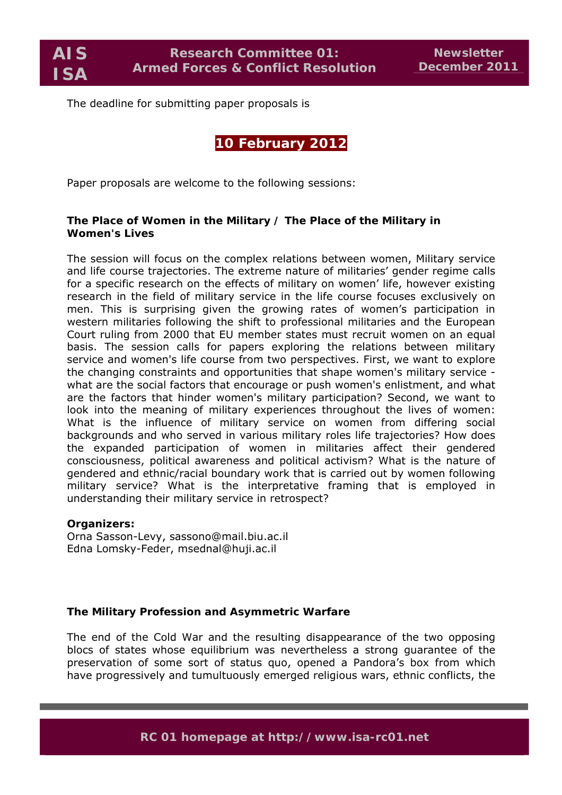**AIS ISA** 

The deadline for submitting paper proposals is

# **10 February 2012**

Paper proposals are welcome to the following sessions:

## **The Place of Women in the Military / The Place of the Military in Women's Lives**

The session will focus on the complex relations between women, Military service and life course trajectories. The extreme nature of militaries' gender regime calls for a specific research on the effects of military on women' life, however existing research in the field of military service in the life course focuses exclusively on men. This is surprising given the growing rates of women's participation in western militaries following the shift to professional militaries and the European Court ruling from 2000 that EU member states must recruit women on an equal basis. The session calls for papers exploring the relations between military service and women's life course from two perspectives. First, we want to explore the changing constraints and opportunities that shape women's military service what are the social factors that encourage or push women's enlistment, and what are the factors that hinder women's military participation? Second, we want to look into the meaning of military experiences throughout the lives of women: What is the influence of military service on women from differing social backgrounds and who served in various military roles life trajectories? How does the expanded participation of women in militaries affect their gendered consciousness, political awareness and political activism? What is the nature of gendered and ethnic/racial boundary work that is carried out by women following military service? What is the interpretative framing that is employed in understanding their military service in retrospect?

#### **Organizers:**

Orna Sasson-Levy, sassono@mail.biu.ac.il Edna Lomsky-Feder, msednal@huji.ac.il

## **The Military Profession and Asymmetric Warfare**

The end of the Cold War and the resulting disappearance of the two opposing blocs of states whose equilibrium was nevertheless a strong guarantee of the preservation of some sort of status quo, opened a Pandora's box from which have progressively and tumultuously emerged religious wars, ethnic conflicts, the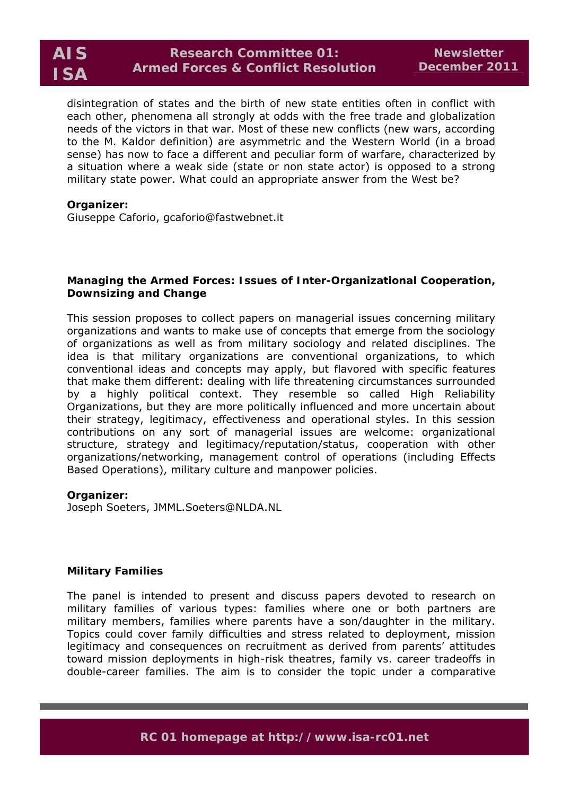disintegration of states and the birth of new state entities often in conflict with each other, phenomena all strongly at odds with the free trade and globalization needs of the victors in that war. Most of these new conflicts (*new wars*, according to the M. Kaldor definition) are asymmetric and the Western World (in a broad sense) has now to face a different and peculiar form of warfare, characterized by a situation where a weak side (state or non state actor) is opposed to a strong military state power. What could an appropriate answer from the West be?

#### **Organizer:**

Giuseppe Caforio, gcaforio@fastwebnet.it

#### **Managing the Armed Forces: Issues of Inter-Organizational Cooperation, Downsizing and Change**

This session proposes to collect papers on managerial issues concerning military organizations and wants to make use of concepts that emerge from the sociology of organizations as well as from military sociology and related disciplines. The idea is that military organizations are conventional organizations, to which conventional ideas and concepts may apply, but flavored with specific features that make them different: dealing with life threatening circumstances surrounded by a highly political context. They resemble so called High Reliability Organizations, but they are more politically influenced and more uncertain about their strategy, legitimacy, effectiveness and operational styles. In this session contributions on any sort of managerial issues are welcome: organizational structure, strategy and legitimacy/reputation/status, cooperation with other organizations/networking, management control of operations (including Effects Based Operations), military culture and manpower policies.

#### **Organizer:**

Joseph Soeters, JMML.Soeters@NLDA.NL

#### **Military Families**

The panel is intended to present and discuss papers devoted to research on military families of various types: families where one or both partners are military members, families where parents have a son/daughter in the military. Topics could cover family difficulties and stress related to deployment, mission legitimacy and consequences on recruitment as derived from parents' attitudes toward mission deployments in high-risk theatres, family vs. career tradeoffs in double-career families. The aim is to consider the topic under a comparative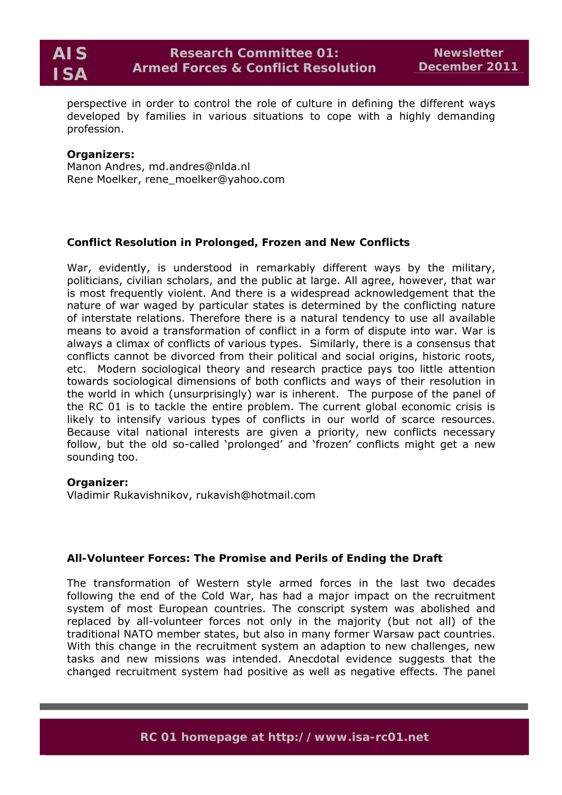

perspective in order to control the role of culture in defining the different ways developed by families in various situations to cope with a highly demanding profession.

#### **Organizers:**

Manon Andres, md.andres@nlda.nl Rene Moelker, rene\_moelker@yahoo.com

## **Conflict Resolution in Prolonged, Frozen and New Conflicts**

War, evidently, is understood in remarkably different ways by the military, politicians, civilian scholars, and the public at large. All agree, however, that war is most frequently violent. And there is a widespread acknowledgement that the nature of war waged by particular states is determined by the conflicting nature of interstate relations. Therefore there is a natural tendency to use all available means to avoid a transformation of conflict in a form of dispute into war. War is always a climax of conflicts of various types. Similarly, there is a consensus that conflicts cannot be divorced from their political and social origins, historic roots, etc. Modern sociological theory and research practice pays too little attention towards sociological dimensions of both conflicts and ways of their resolution in the world in which (unsurprisingly) war is inherent. The purpose of the panel of the RC 01 is to tackle the entire problem. The current global economic crisis is likely to intensify various types of conflicts in our world of scarce resources. Because vital national interests are given a priority, new conflicts necessary follow, but the old so-called 'prolonged' and 'frozen' conflicts might get a new sounding too.

#### **Organizer:**

Vladimir Rukavishnikov, rukavish@hotmail.com

## **All-Volunteer Forces: The Promise and Perils of Ending the Draft**

The transformation of Western style armed forces in the last two decades following the end of the Cold War, has had a major impact on the recruitment system of most European countries. The conscript system was abolished and replaced by all-volunteer forces not only in the majority (but not all) of the traditional NATO member states, but also in many former Warsaw pact countries. With this change in the recruitment system an adaption to new challenges, new tasks and new missions was intended. Anecdotal evidence suggests that the changed recruitment system had positive as well as negative effects. The panel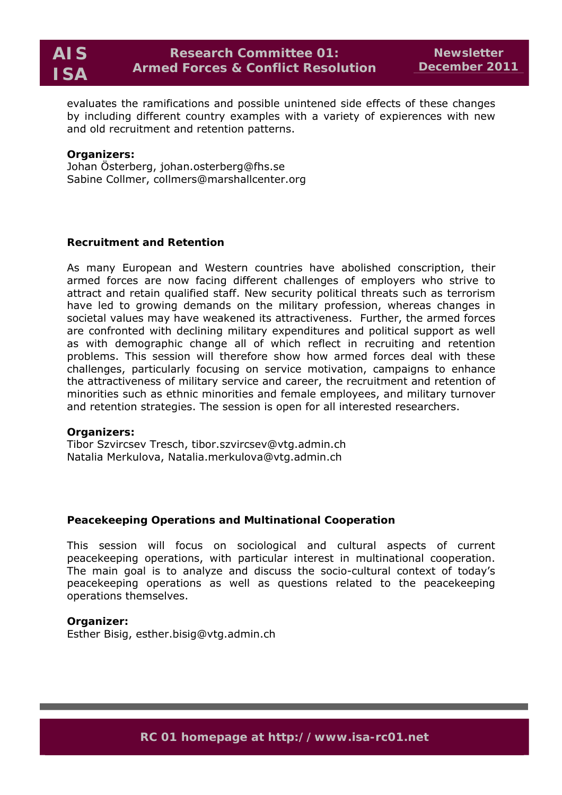evaluates the ramifications and possible unintened side effects of these changes by including different country examples with a variety of expierences with new and old recruitment and retention patterns.

#### **Organizers:**

Johan Österberg, johan.osterberg@fhs.se Sabine Collmer, collmers@marshallcenter.org

## **Recruitment and Retention**

As many European and Western countries have abolished conscription, their armed forces are now facing different challenges of employers who strive to attract and retain qualified staff. New security political threats such as terrorism have led to growing demands on the military profession, whereas changes in societal values may have weakened its attractiveness. Further, the armed forces are confronted with declining military expenditures and political support as well as with demographic change all of which reflect in recruiting and retention problems. This session will therefore show how armed forces deal with these challenges, particularly focusing on service motivation, campaigns to enhance the attractiveness of military service and career, the recruitment and retention of minorities such as ethnic minorities and female employees, and military turnover and retention strategies. The session is open for all interested researchers.

#### **Organizers:**

Tibor Szvircsev Tresch, tibor.szvircsev@vtg.admin.ch Natalia Merkulova, Natalia.merkulova@vtg.admin.ch

## **Peacekeeping Operations and Multinational Cooperation**

This session will focus on sociological and cultural aspects of current peacekeeping operations, with particular interest in multinational cooperation. The main goal is to analyze and discuss the socio-cultural context of today's peacekeeping operations as well as questions related to the peacekeeping operations themselves.

#### **Organizer:**

Esther Bisig, esther.bisig@vtg.admin.ch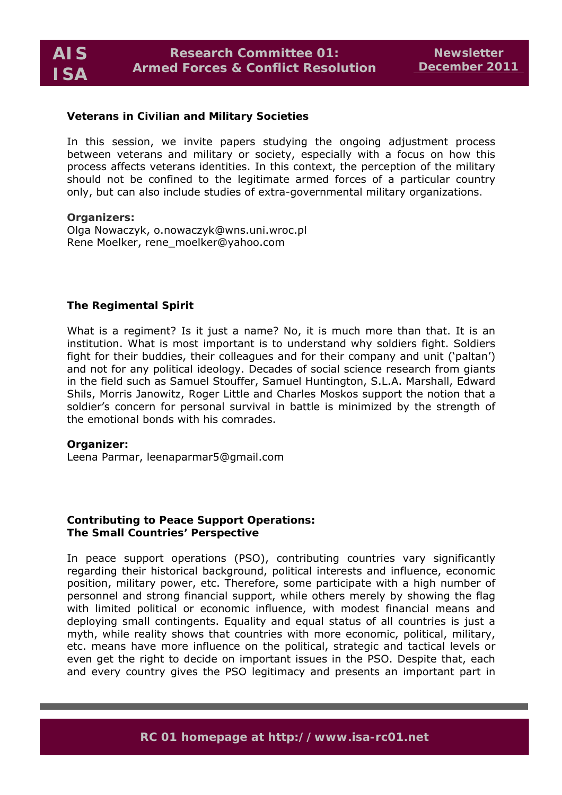#### **Veterans in Civilian and Military Societies**

In this session, we invite papers studying the ongoing adjustment process between veterans and military or society, especially with a focus on how this process affects veterans identities. In this context, the perception of the military should not be confined to the legitimate armed forces of a particular country only, but can also include studies of extra-governmental military organizations.

**Organizers:**  Olga Nowaczyk, o.nowaczyk@wns.uni.wroc.pl Rene Moelker, rene\_moelker@yahoo.com

## **The Regimental Spirit**

What is a regiment? Is it just a name? No, it is much more than that. It is an institution. What is most important is to understand why soldiers fight. Soldiers fight for their buddies, their colleagues and for their company and unit ('paltan') and not for any political ideology. Decades of social science research from giants in the field such as Samuel Stouffer, Samuel Huntington, S.L.A. Marshall, Edward Shils, Morris Janowitz, Roger Little and Charles Moskos support the notion that a soldier's concern for personal survival in battle is minimized by the strength of the emotional bonds with his comrades.

#### **Organizer:**

Leena Parmar, leenaparmar5@gmail.com

## **Contributing to Peace Support Operations: The Small Countries' Perspective**

In peace support operations (PSO), contributing countries vary significantly regarding their historical background, political interests and influence, economic position, military power, etc. Therefore, some participate with a high number of personnel and strong financial support, while others merely by showing the flag with limited political or economic influence, with modest financial means and deploying small contingents. Equality and equal status of all countries is just a myth, while reality shows that countries with more economic, political, military, etc. means have more influence on the political, strategic and tactical levels or even get the right to decide on important issues in the PSO. Despite that, each and every country gives the PSO legitimacy and presents an important part in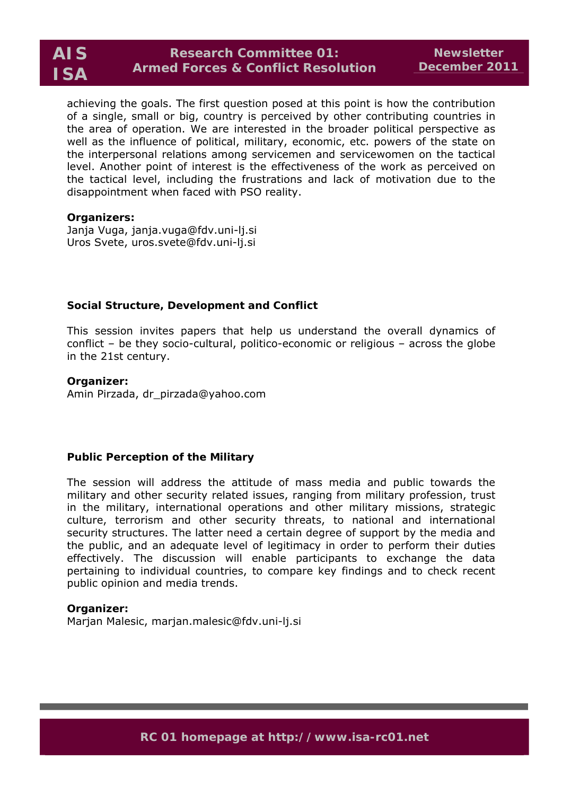achieving the goals. The first question posed at this point is how the contribution of a single, small or big, country is perceived by other contributing countries in the area of operation. We are interested in the broader political perspective as well as the influence of political, military, economic, etc. powers of the state on the interpersonal relations among servicemen and servicewomen on the tactical level. Another point of interest is the effectiveness of the work as perceived on the tactical level, including the frustrations and lack of motivation due to the disappointment when faced with PSO reality.

#### **Organizers:**

Janja Vuga, janja.vuga@fdv.uni-lj.si Uros Svete, uros.svete@fdv.uni-lj.si

## **Social Structure, Development and Conflict**

This session invites papers that help us understand the overall dynamics of conflict – be they socio-cultural, politico-economic or religious – across the globe in the 21st century.

**Organizer:**  Amin Pirzada, dr\_pirzada@yahoo.com

#### **Public Perception of the Military**

The session will address the attitude of mass media and public towards the military and other security related issues, ranging from military profession, trust in the military, international operations and other military missions, strategic culture, terrorism and other security threats, to national and international security structures. The latter need a certain degree of support by the media and the public, and an adequate level of legitimacy in order to perform their duties effectively. The discussion will enable participants to exchange the data pertaining to individual countries, to compare key findings and to check recent public opinion and media trends.

#### **Organizer:**

Marjan Malesic, marjan.malesic@fdv.uni-lj.si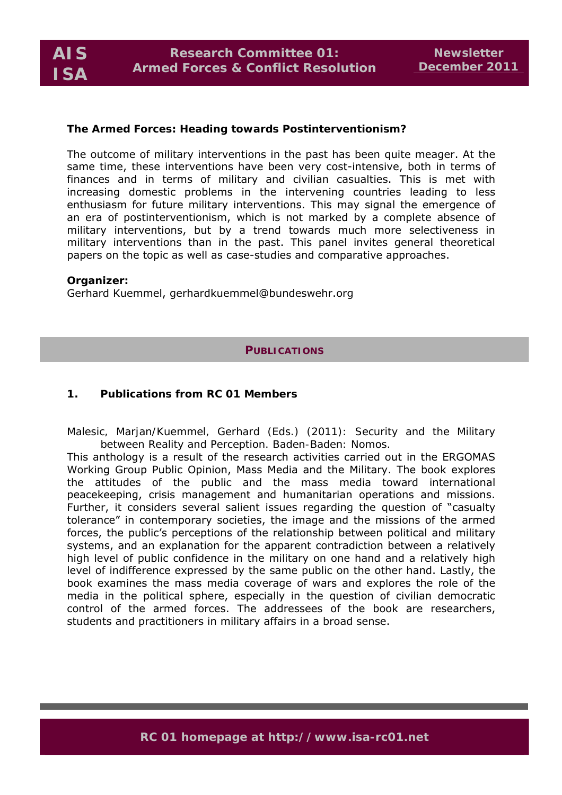

#### **The Armed Forces: Heading towards Postinterventionism?**

The outcome of military interventions in the past has been quite meager. At the same time, these interventions have been very cost-intensive, both in terms of finances and in terms of military and civilian casualties. This is met with increasing domestic problems in the intervening countries leading to less enthusiasm for future military interventions. This may signal the emergence of an era of postinterventionism, which is not marked by a complete absence of military interventions, but by a trend towards much more selectiveness in military interventions than in the past. This panel invites general theoretical papers on the topic as well as case-studies and comparative approaches.

#### **Organizer:**

Gerhard Kuemmel, gerhardkuemmel@bundeswehr.org

#### **PUBLICATIONS**

#### **1. Publications from RC 01 Members**

*Malesic, Marjan/Kuemmel, Gerhard (Eds.) (2011): Security and the Military between Reality and Perception. Baden-Baden: Nomos.* 

This anthology is a result of the research activities carried out in the ERGOMAS Working Group Public Opinion, Mass Media and the Military. The book explores the attitudes of the public and the mass media toward international peacekeeping, crisis management and humanitarian operations and missions. Further, it considers several salient issues regarding the question of "casualty tolerance" in contemporary societies, the image and the missions of the armed forces, the public's perceptions of the relationship between political and military systems, and an explanation for the apparent contradiction between a relatively high level of public confidence in the military on one hand and a relatively high level of indifference expressed by the same public on the other hand. Lastly, the book examines the mass media coverage of wars and explores the role of the media in the political sphere, especially in the question of civilian democratic control of the armed forces. The addressees of the book are researchers, students and practitioners in military affairs in a broad sense.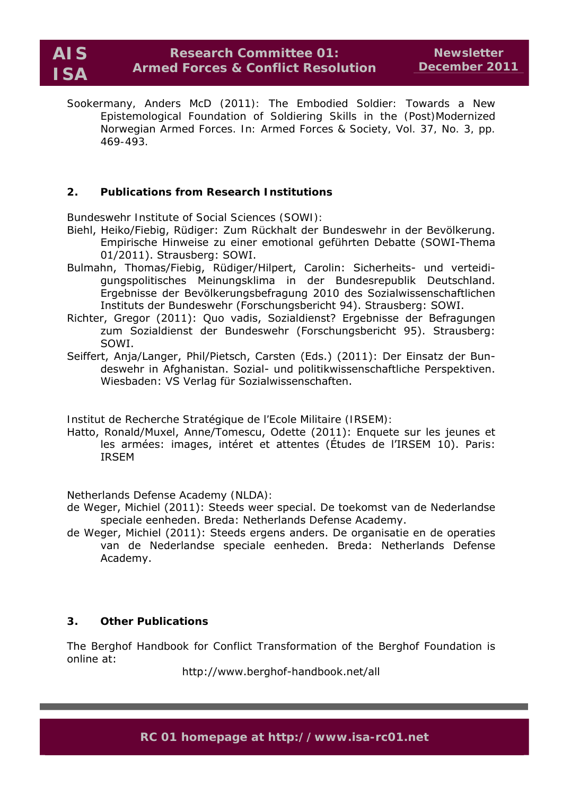# **Research Committee 01: Armed Forces & Conflict Resolution**

*Sookermany, Anders McD (2011): The Embodied Soldier: Towards a New Epistemological Foundation of Soldiering Skills in the (Post)Modernized Norwegian Armed Forces. In: Armed Forces & Society, Vol. 37, No. 3, pp. 469-493.* 

# **2. Publications from Research Institutions**

*Bundeswehr Institute of Social Sciences (SOWI):* 

- Biehl, Heiko/Fiebig, Rüdiger: Zum Rückhalt der Bundeswehr in der Bevölkerung. Empirische Hinweise zu einer emotional geführten Debatte (SOWI-Thema 01/2011). Strausberg: SOWI.
- Bulmahn, Thomas/Fiebig, Rüdiger/Hilpert, Carolin: Sicherheits- und verteidigungspolitisches Meinungsklima in der Bundesrepublik Deutschland. Ergebnisse der Bevölkerungsbefragung 2010 des Sozialwissenschaftlichen Instituts der Bundeswehr (Forschungsbericht 94). Strausberg: SOWI.
- Richter, Gregor (2011): Quo vadis, Sozialdienst? Ergebnisse der Befragungen zum Sozialdienst der Bundeswehr (Forschungsbericht 95). Strausberg: SOWI.
- Seiffert, Anja/Langer, Phil/Pietsch, Carsten (Eds.) (2011): Der Einsatz der Bundeswehr in Afghanistan. Sozial- und politikwissenschaftliche Perspektiven. Wiesbaden: VS Verlag für Sozialwissenschaften.

*Institut de Recherche Stratégique de l'Ecole Militaire (IRSEM):* 

Hatto, Ronald/Muxel, Anne/Tomescu, Odette (2011): Enquete sur les jeunes et les armées: images, intéret et attentes (Études de l'IRSEM 10). Paris: IRSEM

*Netherlands Defense Academy (NLDA):* 

- de Weger, Michiel (2011): Steeds weer special. De toekomst van de Nederlandse speciale eenheden. Breda: Netherlands Defense Academy.
- de Weger, Michiel (2011): Steeds ergens anders. De organisatie en de operaties van de Nederlandse speciale eenheden. Breda: Netherlands Defense Academy.

## **3. Other Publications**

The *Berghof Handbook for Conflict Transformation* of the Berghof Foundation is online at:

http://www.berghof-handbook.net/all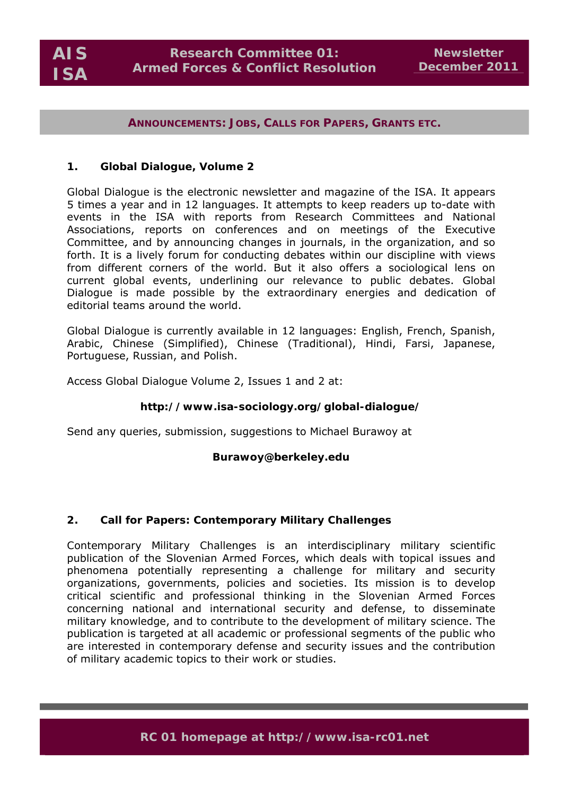#### **ANNOUNCEMENTS: JOBS, CALLS FOR PAPERS, GRANTS ETC.**

#### **1.** *Global Dialogue,* **Volume 2**

*Global Dialogue* is the electronic newsletter and magazine of the ISA. It appears 5 times a year and in 12 languages. It attempts to keep readers up to-date with events in the ISA with reports from Research Committees and National Associations, reports on conferences and on meetings of the Executive Committee, and by announcing changes in journals, in the organization, and so forth. It is a lively forum for conducting debates within our discipline with views from different corners of the world. But it also offers a sociological lens on current global events, underlining our relevance to public debates. Global Dialogue is made possible by the extraordinary energies and dedication of editorial teams around the world.

*Global Dialogue* is currently available in 12 languages: English, French, Spanish, Arabic, Chinese (Simplified), Chinese (Traditional), Hindi, Farsi, Japanese, Portuguese, Russian, and Polish.

Access *Global Dialogue* Volume 2, Issues 1 and 2 at:

## **http://www.isa-sociology.org/global-dialogue/**

Send any queries, submission, suggestions to Michael Burawoy at

#### **Burawoy@berkeley.edu**

## **2. Call for Papers:** *Contemporary Military Challenges*

*Contemporary Military Challenges* is an interdisciplinary military scientific publication of the Slovenian Armed Forces, which deals with topical issues and phenomena potentially representing a challenge for military and security organizations, governments, policies and societies. Its mission is to develop critical scientific and professional thinking in the Slovenian Armed Forces concerning national and international security and defense, to disseminate military knowledge, and to contribute to the development of military science. The publication is targeted at all academic or professional segments of the public who are interested in contemporary defense and security issues and the contribution of military academic topics to their work or studies.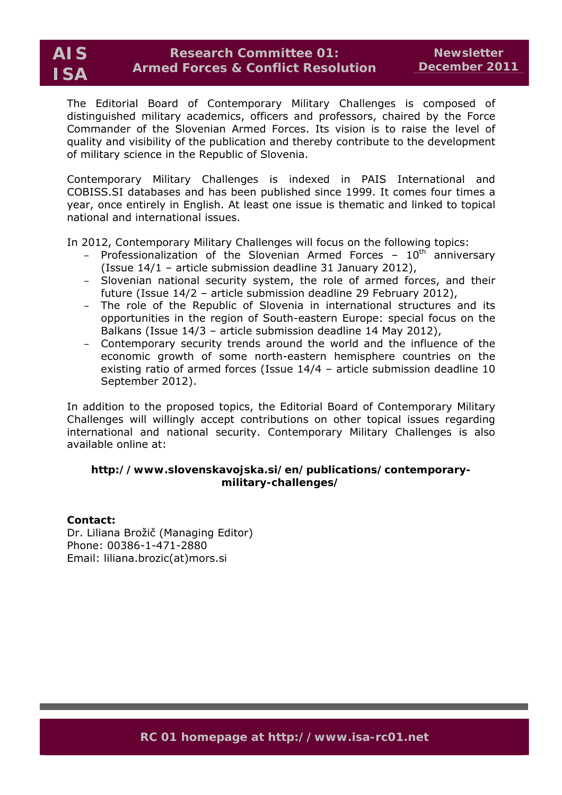# **Research Committee 01: Armed Forces & Conflict Resolution**

The Editorial Board of *Contemporary Military Challenges* is composed of distinguished military academics, officers and professors, chaired by the Force Commander of the Slovenian Armed Forces. Its vision is to raise the level of quality and visibility of the publication and thereby contribute to the development of military science in the Republic of Slovenia.

*Contemporary Military Challenges* is indexed in PAIS International and COBISS.SI databases and has been published since 1999. It comes four times a year, once entirely in English. At least one issue is thematic and linked to topical national and international issues.

In 2012, *Contemporary Military Challenges* will focus on the following topics:

- Professionalization of the Slovenian Armed Forces  $10<sup>th</sup>$  anniversary (Issue 14/1 – article submission deadline 31 January 2012),
- Slovenian national security system, the role of armed forces, and their future (Issue 14/2 – article submission deadline 29 February 2012),
- The role of the Republic of Slovenia in international structures and its opportunities in the region of South-eastern Europe: special focus on the Balkans (Issue 14/3 – article submission deadline 14 May 2012),
- Contemporary security trends around the world and the influence of the economic growth of some north-eastern hemisphere countries on the existing ratio of armed forces (Issue 14/4 – article submission deadline 10 September 2012).

In addition to the proposed topics, the Editorial Board of *Contemporary Military Challenges* will willingly accept contributions on other topical issues regarding international and national security. *Contemporary Military Challenges* is also available online at:

# **http://www.slovenskavojska.si/en/publications/contemporarymilitary-challenges/**

## **Contact:**

Dr. Liliana Brožič (Managing Editor) Phone: 00386-1-471-2880 Email: liliana.brozic(at)mors.si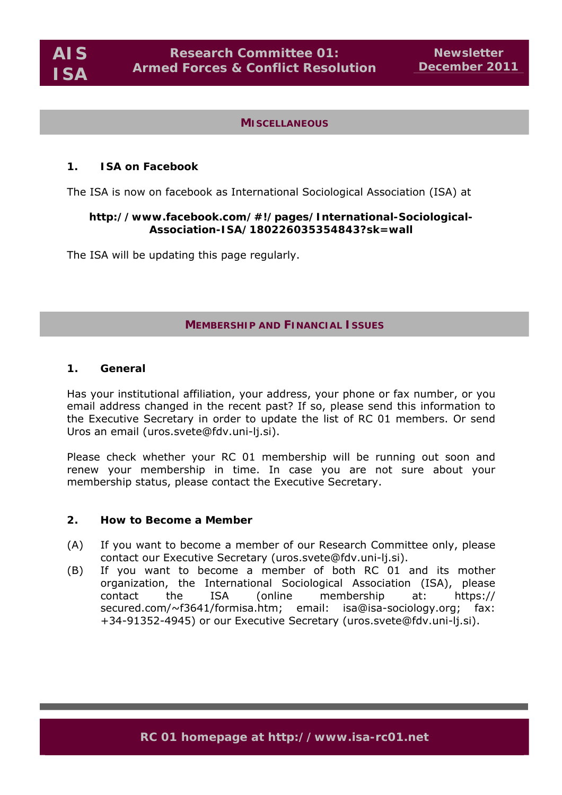#### **MISCELLANEOUS**

#### **1. ISA on** *Facebook*

The ISA is now on facebook as International Sociological Association (ISA) at

#### **http://www.facebook.com/#!/pages/International-Sociological-Association-ISA/180226035354843?sk=wall**

The ISA will be updating this page regularly.

#### **MEMBERSHIP AND FINANCIAL ISSUES**

#### **1. General**

Has your institutional affiliation, your address, your phone or fax number, or you email address changed in the recent past? If so, please send this information to the Executive Secretary in order to update the list of RC 01 members. Or send Uros an email (uros.svete@fdv.uni-li.si).

Please check whether your RC 01 membership will be running out soon and renew your membership in time. In case you are not sure about your membership status, please contact the Executive Secretary.

#### **2. How to Become a Member**

- (A) If you want to become a member of our Research Committee only, please contact our Executive Secretary (uros.svete@fdv.uni-lj.si).
- (B) If you want to become a member of both RC 01 and its mother organization, the International Sociological Association (ISA), please contact the ISA (online membership at: https:// secured.com/~f3641/formisa.htm; email: isa@isa-sociology.org; fax: +34-91352-4945) or our Executive Secretary (uros.svete@fdv.uni-lj.si).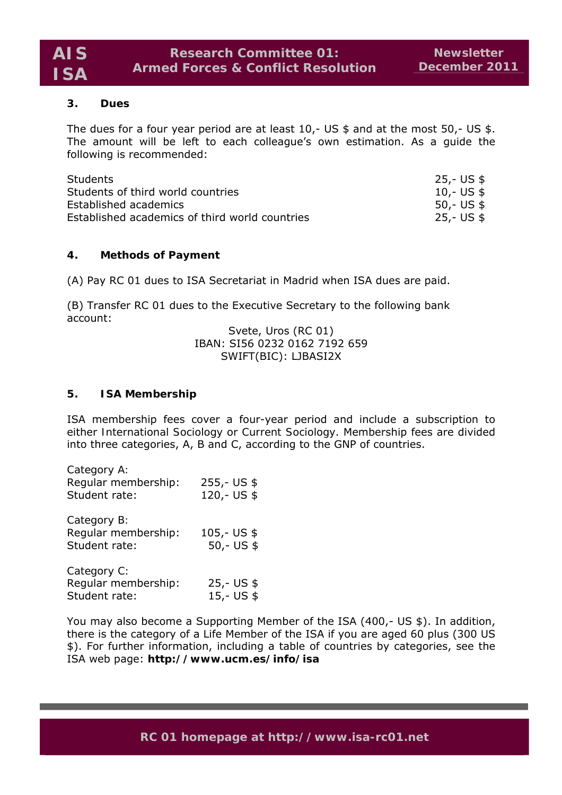## **3. Dues**

The dues for a four year period are at least 10,- US \$ and at the most 50,- US \$. The amount will be left to each colleague's own estimation. As a guide the following is recommended:

| <b>Students</b>                                | 25,- US \$ |
|------------------------------------------------|------------|
| Students of third world countries              | 10,- US \$ |
| Established academics                          | 50,- US \$ |
| Established academics of third world countries | 25,- US \$ |

# **4. Methods of Payment**

(A) Pay RC 01 dues to ISA Secretariat in Madrid when ISA dues are paid.

(B) Transfer RC 01 dues to the Executive Secretary to the following bank account:

> Svete, Uros (RC 01) IBAN: SI56 0232 0162 7192 659 SWIFT(BIC): LJBASI2X

## **5. ISA Membership**

ISA membership fees cover a four-year period and include a subscription to either *International Sociology* or *Current Sociology*. Membership fees are divided into three categories, A, B and C, according to the GNP of countries.

| Category A:<br>Regular membership:<br>Student rate: | $255 - US$ \$<br>120,- US \$  |
|-----------------------------------------------------|-------------------------------|
| Category B:<br>Reqular membership:<br>Student rate: | $105 - US$ \$<br>$50 - US$ \$ |
| Category C:<br>Regular membership:<br>Student rate: | $25 - US$ \$<br>$15 - US$ \$  |

You may also become a Supporting Member of the ISA (400,- US \$). In addition, there is the category of a Life Member of the ISA if you are aged 60 plus (300 US \$). For further information, including a table of countries by categories, see the ISA web page: **http://www.ucm.es/info/isa**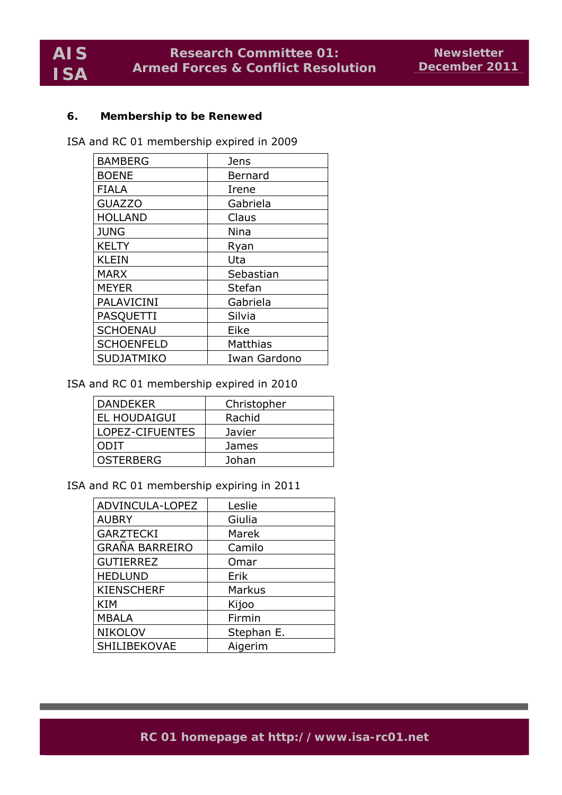#### **6. Membership to be Renewed**

ISA and RC 01 membership expired in 2009

| <b>BAMBERG</b>    | Jens         |
|-------------------|--------------|
| <b>BOENE</b>      | Bernard      |
| <b>FIALA</b>      | Irene        |
| <b>GUAZZO</b>     | Gabriela     |
| <b>HOLLAND</b>    | Claus        |
| <b>JUNG</b>       | Nina         |
| <b>KELTY</b>      | Ryan         |
| <b>KLEIN</b>      | Uta          |
| <b>MARX</b>       | Sebastian    |
| <b>MEYER</b>      | Stefan       |
| PALAVICINI        | Gabriela     |
| PASQUETTI         | Silvia       |
| <b>SCHOENAU</b>   | Eike         |
| <b>SCHOENFELD</b> | Matthias     |
| <b>SUDJATMIKO</b> | Iwan Gardono |

ISA and RC 01 membership expired in 2010

| DANDEKER            | Christopher |
|---------------------|-------------|
| <b>EL HOUDAIGUI</b> | Rachid      |
| LOPEZ-CIFUENTES     | Javier      |
| ODIT                | James       |
| <b>OSTERBERG</b>    | Johan       |

ISA and RC 01 membership expiring in 2011

| ADVINCULA-LOPEZ       | Leslie     |
|-----------------------|------------|
|                       |            |
| <b>AUBRY</b>          | Giulia     |
| <b>GARZTECKI</b>      | Marek      |
| <b>GRAÑA BARREIRO</b> | Camilo     |
| <b>GUTIERREZ</b>      | Omar       |
| <b>HEDLUND</b>        | Erik       |
| <b>KIENSCHERF</b>     | Markus     |
| <b>KIM</b>            | Kijoo      |
| <b>MBALA</b>          | Firmin     |
| <b>NIKOLOV</b>        | Stephan E. |
| SHILIBEKOVAE          | Aigerim    |